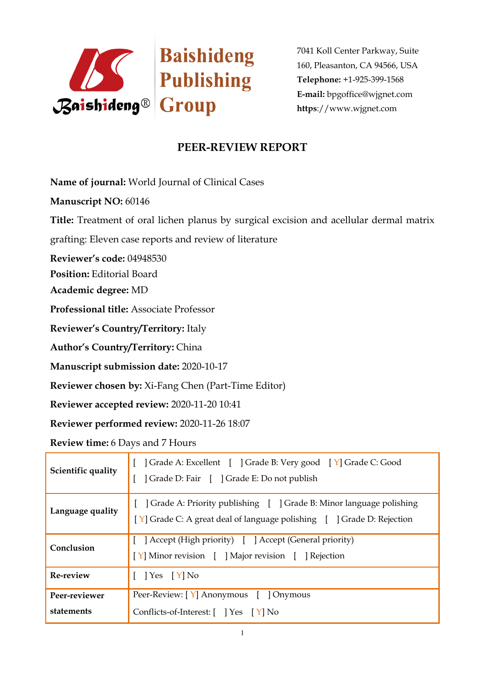

7041 Koll Center Parkway, Suite 160, Pleasanton, CA 94566, USA **Telephone:** +1-925-399-1568 **E-mail:** bpgoffice@wjgnet.com **https**://www.wjgnet.com

## **PEER-REVIEW REPORT**

**Name of journal:** World Journal of Clinical Cases

**Manuscript NO:** 60146

**Title:** Treatment of oral lichen planus by surgical excision and acellular dermal matrix

grafting: Eleven case reports and review of literature

**Reviewer's code:** 04948530

**Position:** Editorial Board

**Academic degree:** MD

**Professional title:** Associate Professor

**Reviewer's Country/Territory:** Italy

**Author's Country/Territory:** China

**Manuscript submission date:** 2020-10-17

**Reviewer chosen by:** Xi-Fang Chen (Part-Time Editor)

**Reviewer accepted review:** 2020-11-20 10:41

**Reviewer performed review:** 2020-11-26 18:07

**Review time:** 6 Days and 7 Hours

| Scientific quality          | Grade A: Excellent [ ] Grade B: Very good [ Y] Grade C: Good<br>] Grade D: Fair [ ] Grade E: Do not publish                                      |
|-----------------------------|--------------------------------------------------------------------------------------------------------------------------------------------------|
| Language quality            | [ ] Grade A: Priority publishing [ ] Grade B: Minor language polishing<br>[Y] Grade C: A great deal of language polishing [ ] Grade D: Rejection |
| Conclusion                  | [ ] Accept (High priority) [ ] Accept (General priority)<br>[Y] Minor revision [ ] Major revision [ ] Rejection                                  |
| Re-review                   | $[$   Yes $[Y]$ No                                                                                                                               |
| Peer-reviewer<br>statements | Peer-Review: [Y] Anonymous [ ] Onymous<br>Conflicts-of-Interest: [ ] Yes [Y] No                                                                  |